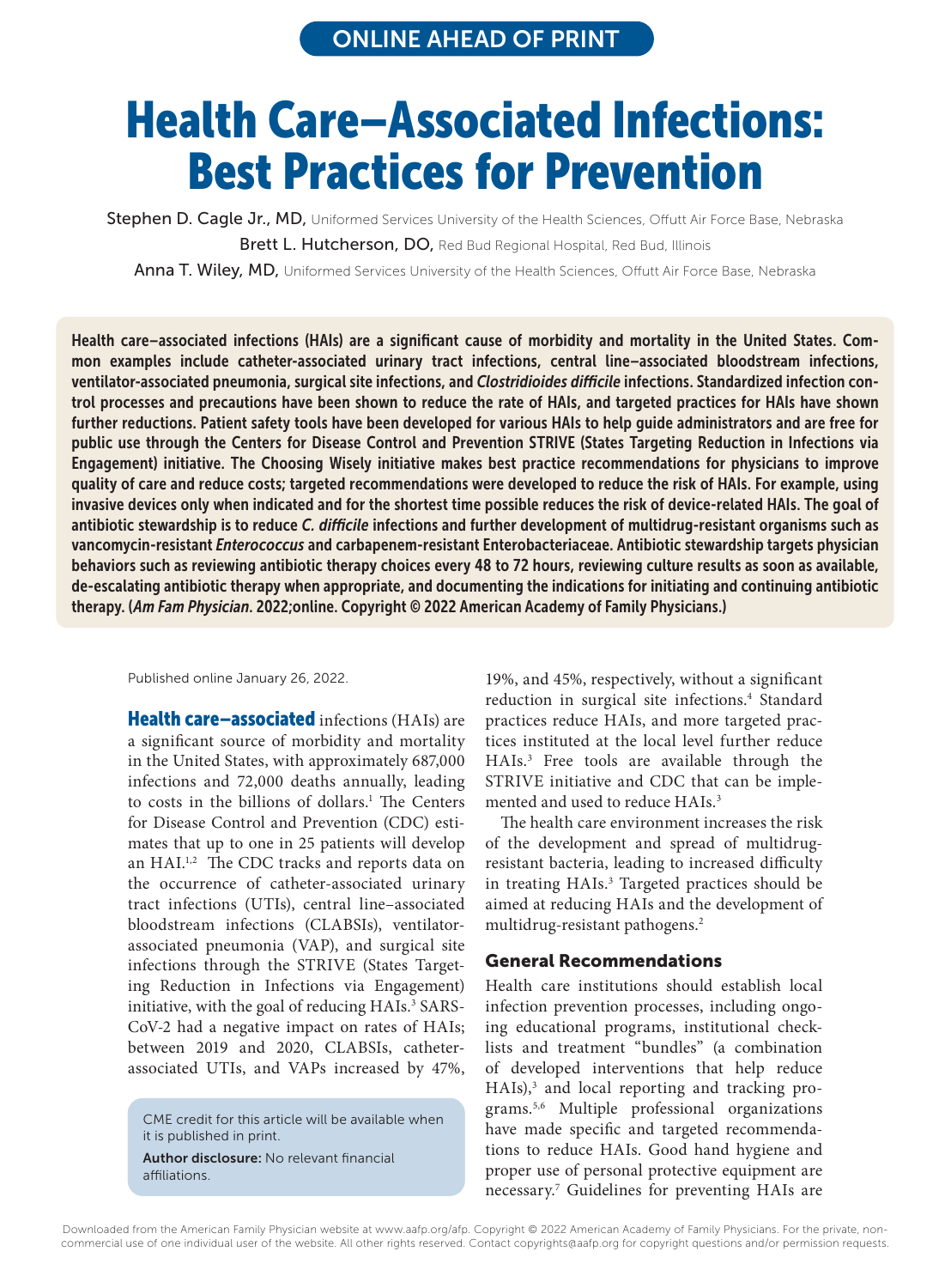# Health Care–Associated Infections: Best Practices for Prevention

Stephen D. Cagle Jr., MD, Uniformed Services University of the Health Sciences, Offutt Air Force Base, Nebraska Brett L. Hutcherson, DO, Red Bud Regional Hospital, Red Bud, Illinois

Anna T. Wiley, MD, Uniformed Services University of the Health Sciences, Offutt Air Force Base, Nebraska

Health care–associated infections (HAIs) are a significant cause of morbidity and mortality in the United States. Common examples include catheter-associated urinary tract infections, central line–associated bloodstream infections, ventilator-associated pneumonia, surgical site infections, and *Clostridioides difficile* infections. Standardized infection control processes and precautions have been shown to reduce the rate of HAIs, and targeted practices for HAIs have shown further reductions. Patient safety tools have been developed for various HAIs to help guide administrators and are free for public use through the Centers for Disease Control and Prevention STRIVE (States Targeting Reduction in Infections via Engagement) initiative. The Choosing Wisely initiative makes best practice recommendations for physicians to improve quality of care and reduce costs; targeted recommendations were developed to reduce the risk of HAIs. For example, using invasive devices only when indicated and for the shortest time possible reduces the risk of device-related HAIs. The goal of antibiotic stewardship is to reduce *C. difficile* infections and further development of multidrug-resistant organisms such as vancomycin-resistant *Enterococcus* and carbapenem-resistant Enterobacteriaceae. Antibiotic stewardship targets physician behaviors such as reviewing antibiotic therapy choices every 48 to 72 hours, reviewing culture results as soon as available, de-escalating antibiotic therapy when appropriate, and documenting the indications for initiating and continuing antibiotic therapy. (*Am Fam Physician*. 2022;online. Copyright © 2022 American Academy of Family Physicians.)

Published online January 26, 2022.

Health care-associated infections (HAIs) are a significant source of morbidity and mortality in the United States, with approximately 687,000 infections and 72,000 deaths annually, leading to costs in the billions of dollars.<sup>1</sup> The Centers for Disease Control and Prevention (CDC) estimates that up to one in 25 patients will develop an HAI.<sup>1,2</sup> The CDC tracks and reports data on the occurrence of catheter-associated urinary tract infections (UTIs), central line–associated bloodstream infections (CLABSIs), ventilatorassociated pneumonia (VAP), and surgical site infections through the STRIVE (States Targeting Reduction in Infections via Engagement) initiative, with the goal of reducing HAIs.<sup>3</sup> SARS-CoV-2 had a negative impact on rates of HAIs; between 2019 and 2020, CLABSIs, catheterassociated UTIs, and VAPs increased by 47%,

CME credit for this article will be available when it is published in print.  $\mathcal{L}^{\mathcal{L}}$  is published in print.

Author disclosure: No relevant financial affiliations.

19%, and 45%, respectively, without a significant reduction in surgical site infections.<sup>4</sup> Standard practices reduce HAIs, and more targeted practices instituted at the local level further reduce HAIs.3 Free tools are available through the STRIVE initiative and CDC that can be implemented and used to reduce HAIs.<sup>3</sup>

The health care environment increases the risk of the development and spread of multidrugresistant bacteria, leading to increased difficulty in treating HAIs.<sup>3</sup> Targeted practices should be aimed at reducing HAIs and the development of multidrug-resistant pathogens.2

#### General Recommendations

CME credit for this article will be available when<br>it is published in print.<br>**Author disclosure:** No relevant financial<br>affiliations.<br>**Author disclosure:** No relevant financial<br>affiliations.<br>**Author disclosure:** No relevan Health care institutions should establish local infection prevention processes, including ongoing educational programs, institutional checklists and treatment "bundles" (a combination of developed interventions that help reduce HAIs),<sup>3</sup> and local reporting and tracking programs.5,6 Multiple professional organizations have made specific and targeted recommendations to reduce HAIs. Good hand hygiene and proper use of personal protective equipment are necessary.7 Guidelines for preventing HAIs are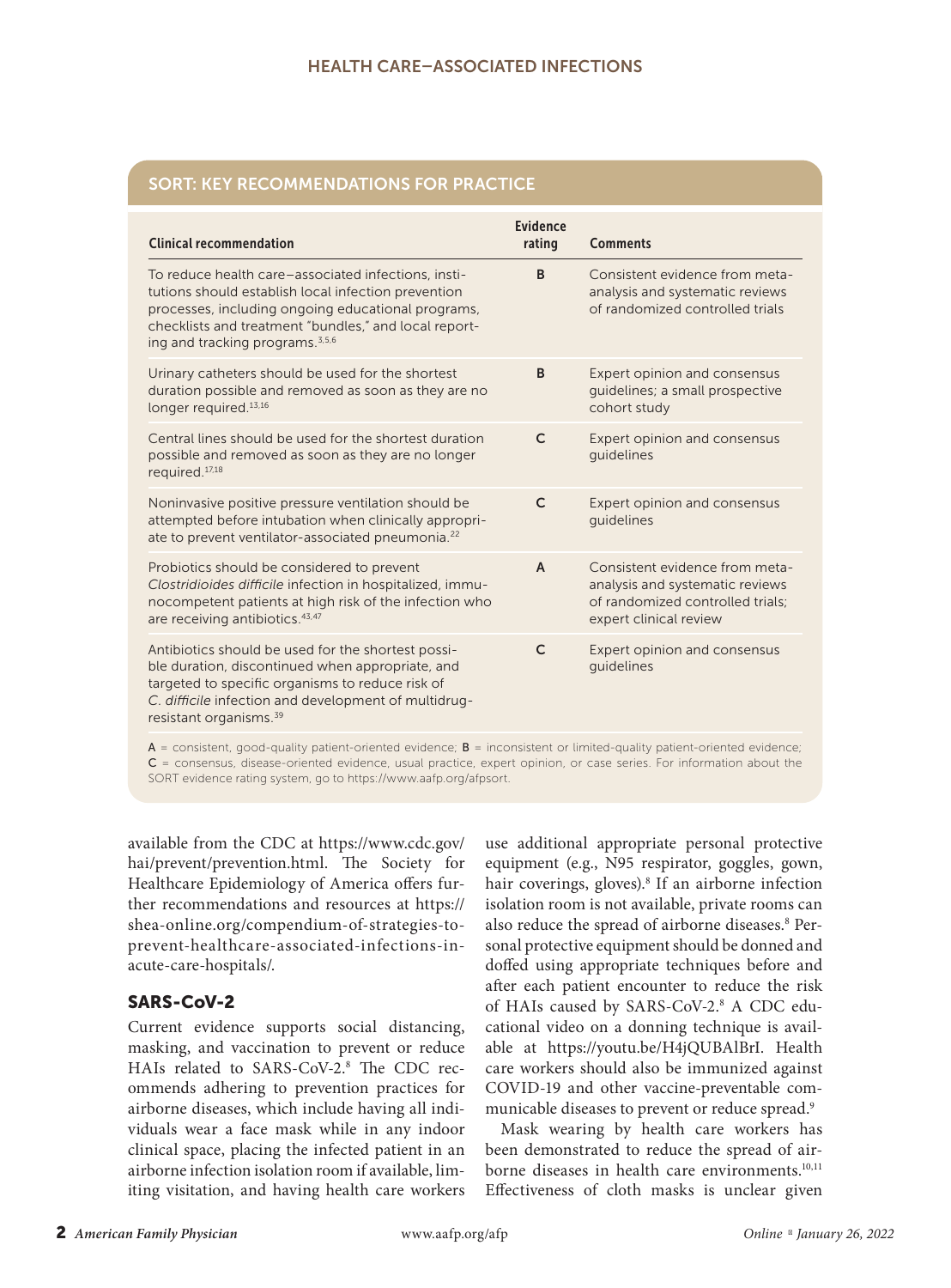# SORT: KEY RECOMMENDATIONS FOR PRACTICE

| <b>Clinical recommendation</b>                                                                                                                                                                                                                                           | Evidence<br>rating | <b>Comments</b>                                                                                                                 |
|--------------------------------------------------------------------------------------------------------------------------------------------------------------------------------------------------------------------------------------------------------------------------|--------------------|---------------------------------------------------------------------------------------------------------------------------------|
| To reduce health care-associated infections, insti-<br>tutions should establish local infection prevention<br>processes, including ongoing educational programs,<br>checklists and treatment "bundles," and local report-<br>ing and tracking programs. <sup>3,5,6</sup> | B                  | Consistent evidence from meta-<br>analysis and systematic reviews<br>of randomized controlled trials                            |
| Urinary catheters should be used for the shortest<br>duration possible and removed as soon as they are no<br>longer required. $13,16$                                                                                                                                    | B                  | Expert opinion and consensus<br>quidelines; a small prospective<br>cohort study                                                 |
| Central lines should be used for the shortest duration<br>possible and removed as soon as they are no longer<br>required. <sup>17,18</sup>                                                                                                                               | $\mathsf{C}$       | Expert opinion and consensus<br>quidelines                                                                                      |
| Noninvasive positive pressure ventilation should be<br>attempted before intubation when clinically appropri-<br>ate to prevent ventilator-associated pneumonia. <sup>22</sup>                                                                                            | $\mathsf{C}$       | Expert opinion and consensus<br>quidelines                                                                                      |
| Probiotics should be considered to prevent<br>Clostridioides difficile infection in hospitalized, immu-<br>nocompetent patients at high risk of the infection who<br>are receiving antibiotics. 43,47                                                                    | $\overline{A}$     | Consistent evidence from meta-<br>analysis and systematic reviews<br>of randomized controlled trials:<br>expert clinical review |
| Antibiotics should be used for the shortest possi-<br>ble duration, discontinued when appropriate, and<br>targeted to specific organisms to reduce risk of<br>C. difficile infection and development of multidrug-<br>resistant organisms. <sup>39</sup>                 | $\mathsf{C}$       | Expert opinion and consensus<br>quidelines                                                                                      |
|                                                                                                                                                                                                                                                                          |                    |                                                                                                                                 |

 $A =$  consistent, good-quality patient-oriented evidence;  $B =$  inconsistent or limited-quality patient-oriented evidence; C = consensus, disease-oriented evidence, usual practice, expert opinion, or case series. For information about the SORT evidence rating system, go to https://www.aafp.org/afpsort.

available from the CDC at https://www.cdc.gov/ hai/prevent/prevention.html. The Society for Healthcare Epidemiology of America offers further recommendations and resources at https:// shea-online.org/compendium-of-strategies-toprevent-healthcare-associated-infections-inacute-care-hospitals/.

# SARS-CoV-2

Current evidence supports social distancing, masking, and vaccination to prevent or reduce HAIs related to SARS-CoV-2.8 The CDC recommends adhering to prevention practices for airborne diseases, which include having all individuals wear a face mask while in any indoor clinical space, placing the infected patient in an airborne infection isolation room if available, limiting visitation, and having health care workers

use additional appropriate personal protective equipment (e.g., N95 respirator, goggles, gown, hair coverings, gloves).<sup>8</sup> If an airborne infection isolation room is not available, private rooms can also reduce the spread of airborne diseases.<sup>8</sup> Personal protective equipment should be donned and doffed using appropriate techniques before and after each patient encounter to reduce the risk of HAIs caused by SARS-CoV-2.<sup>8</sup> A CDC educational video on a donning technique is available at https://youtu.be/H4jQUBAlBrI. Health care workers should also be immunized against COVID-19 and other vaccine-preventable communicable diseases to prevent or reduce spread.9

Mask wearing by health care workers has been demonstrated to reduce the spread of airborne diseases in health care environments.<sup>10,11</sup> Effectiveness of cloth masks is unclear given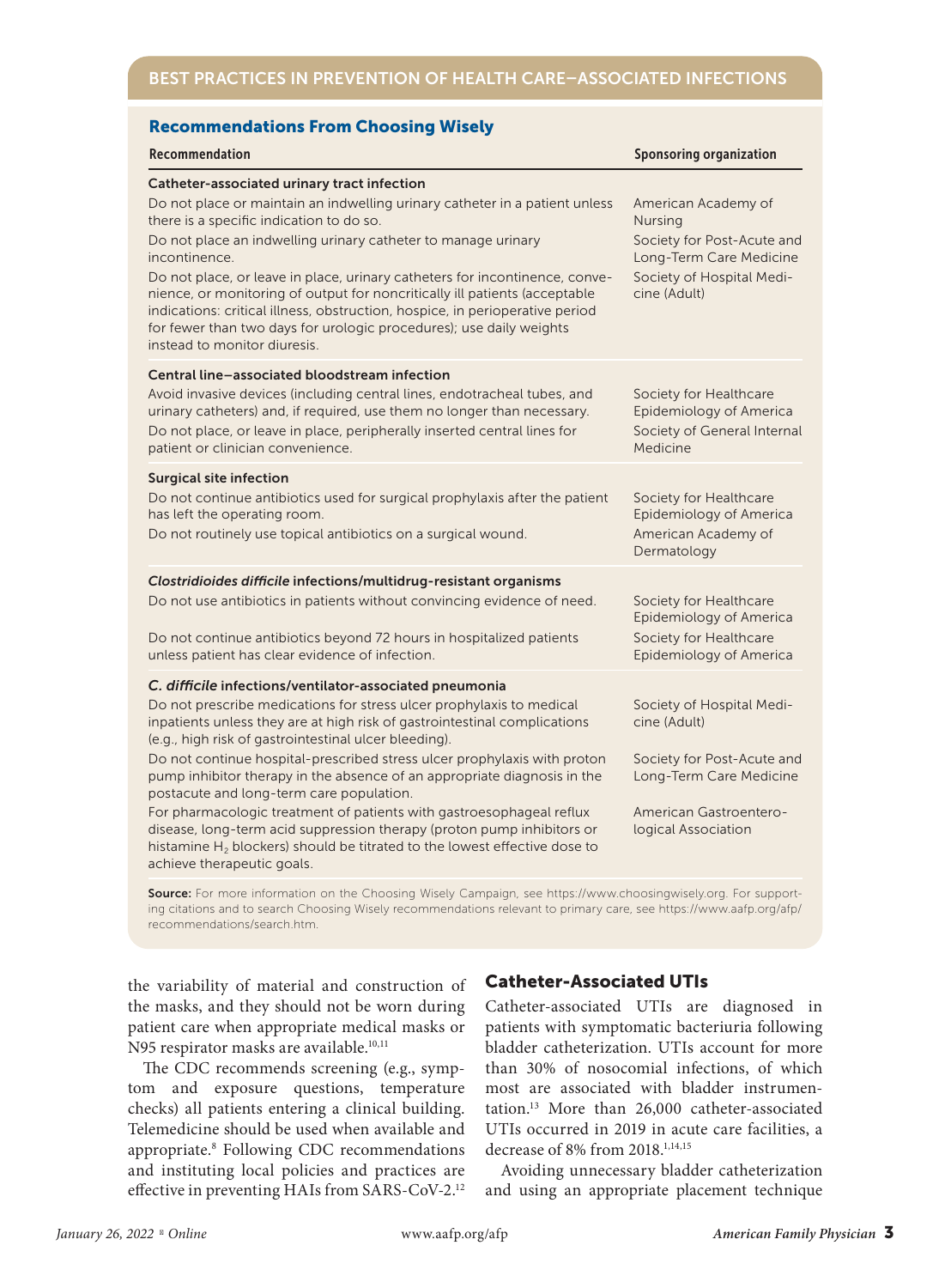| <b>Recommendations From Choosing Wisely</b>                                                                                                                                                                                                                                                                                                                                                                                                                                                                                                                                                                                                                                                                                                        |                                                                                                                                                     |  |  |
|----------------------------------------------------------------------------------------------------------------------------------------------------------------------------------------------------------------------------------------------------------------------------------------------------------------------------------------------------------------------------------------------------------------------------------------------------------------------------------------------------------------------------------------------------------------------------------------------------------------------------------------------------------------------------------------------------------------------------------------------------|-----------------------------------------------------------------------------------------------------------------------------------------------------|--|--|
| Recommendation                                                                                                                                                                                                                                                                                                                                                                                                                                                                                                                                                                                                                                                                                                                                     | <b>Sponsoring organization</b>                                                                                                                      |  |  |
| Catheter-associated urinary tract infection<br>Do not place or maintain an indwelling urinary catheter in a patient unless<br>there is a specific indication to do so.<br>Do not place an indwelling urinary catheter to manage urinary<br>incontinence.<br>Do not place, or leave in place, urinary catheters for incontinence, conve-<br>nience, or monitoring of output for noncritically ill patients (acceptable<br>indications: critical illness, obstruction, hospice, in perioperative period<br>for fewer than two days for urologic procedures); use daily weights<br>instead to monitor diuresis.                                                                                                                                       | American Academy of<br><b>Nursing</b><br>Society for Post-Acute and<br>Long-Term Care Medicine<br>Society of Hospital Medi-<br>cine (Adult)         |  |  |
| Central line-associated bloodstream infection<br>Avoid invasive devices (including central lines, endotracheal tubes, and<br>urinary catheters) and, if required, use them no longer than necessary.<br>Do not place, or leave in place, peripherally inserted central lines for<br>patient or clinician convenience.                                                                                                                                                                                                                                                                                                                                                                                                                              | Society for Healthcare<br>Epidemiology of America<br>Society of General Internal<br>Medicine                                                        |  |  |
| <b>Surgical site infection</b><br>Do not continue antibiotics used for surgical prophylaxis after the patient<br>has left the operating room.<br>Do not routinely use topical antibiotics on a surgical wound.                                                                                                                                                                                                                                                                                                                                                                                                                                                                                                                                     | Society for Healthcare<br>Epidemiology of America<br>American Academy of<br>Dermatology                                                             |  |  |
| Clostridioides difficile infections/multidrug-resistant organisms<br>Do not use antibiotics in patients without convincing evidence of need.<br>Do not continue antibiotics beyond 72 hours in hospitalized patients<br>unless patient has clear evidence of infection.                                                                                                                                                                                                                                                                                                                                                                                                                                                                            | Society for Healthcare<br>Epidemiology of America<br>Society for Healthcare<br>Epidemiology of America                                              |  |  |
| C. difficile infections/ventilator-associated pneumonia<br>Do not prescribe medications for stress ulcer prophylaxis to medical<br>inpatients unless they are at high risk of gastrointestinal complications<br>(e.g., high risk of gastrointestinal ulcer bleeding).<br>Do not continue hospital-prescribed stress ulcer prophylaxis with proton<br>pump inhibitor therapy in the absence of an appropriate diagnosis in the<br>postacute and long-term care population.<br>For pharmacologic treatment of patients with gastroesophageal reflux<br>disease, long-term acid suppression therapy (proton pump inhibitors or<br>histamine H <sub>2</sub> blockers) should be titrated to the lowest effective dose to<br>achieve therapeutic goals. | Society of Hospital Medi-<br>cine (Adult)<br>Society for Post-Acute and<br>Long-Term Care Medicine<br>American Gastroentero-<br>logical Association |  |  |
|                                                                                                                                                                                                                                                                                                                                                                                                                                                                                                                                                                                                                                                                                                                                                    |                                                                                                                                                     |  |  |

Source: For more information on the Choosing Wisely Campaign, see https://www.choosingwisely.org. For supporting citations and to search Choosing Wisely recommendations relevant to primary care, see https://www.aafp.org/afp/ recommendations/search.htm.

the variability of material and construction of the masks, and they should not be worn during patient care when appropriate medical masks or N95 respirator masks are available.<sup>10,11</sup>

The CDC recommends screening (e.g., symptom and exposure questions, temperature checks) all patients entering a clinical building. Telemedicine should be used when available and appropriate.8 Following CDC recommendations and instituting local policies and practices are effective in preventing HAIs from SARS-CoV-2.12

# Catheter-Associated UTIs

Catheter-associated UTIs are diagnosed in patients with symptomatic bacteriuria following bladder catheterization. UTIs account for more than 30% of nosocomial infections, of which most are associated with bladder instrumentation.13 More than 26,000 catheter-associated UTIs occurred in 2019 in acute care facilities, a decrease of 8% from 2018.1,14,15

Avoiding unnecessary bladder catheterization and using an appropriate placement technique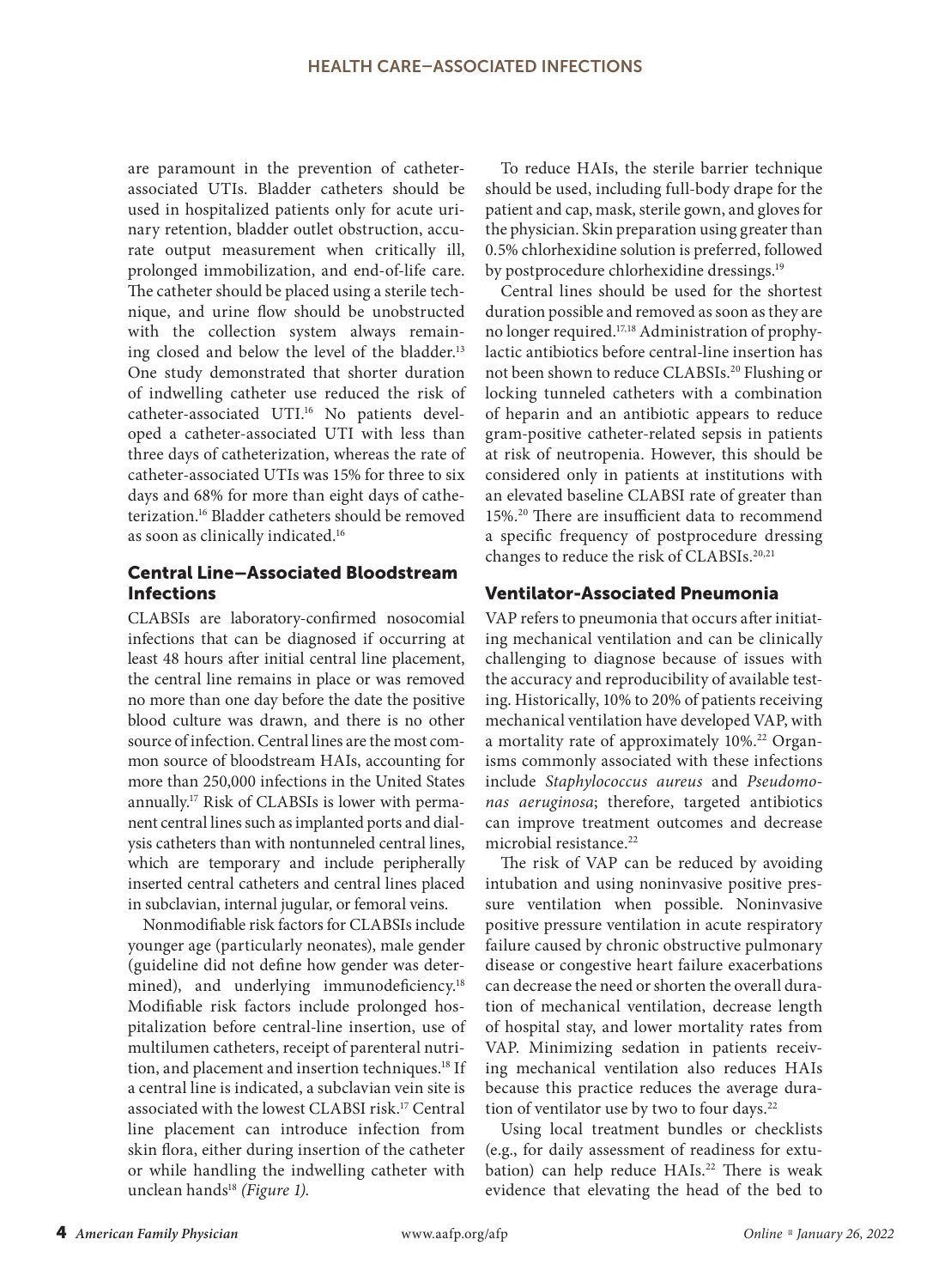are paramount in the prevention of catheterassociated UTIs. Bladder catheters should be used in hospitalized patients only for acute urinary retention, bladder outlet obstruction, accurate output measurement when critically ill, prolonged immobilization, and end-of-life care. The catheter should be placed using a sterile technique, and urine flow should be unobstructed with the collection system always remaining closed and below the level of the bladder.<sup>13</sup> One study demonstrated that shorter duration of indwelling catheter use reduced the risk of catheter-associated UTI.16 No patients developed a catheter-associated UTI with less than three days of catheterization, whereas the rate of catheter-associated UTIs was 15% for three to six days and 68% for more than eight days of catheterization.16 Bladder catheters should be removed as soon as clinically indicated.16

# Central Line–Associated Bloodstream Infections

CLABSIs are laboratory-confirmed nosocomial infections that can be diagnosed if occurring at least 48 hours after initial central line placement, the central line remains in place or was removed no more than one day before the date the positive blood culture was drawn, and there is no other source of infection. Central lines are the most common source of bloodstream HAIs, accounting for more than 250,000 infections in the United States annually.17 Risk of CLABSIs is lower with permanent central lines such as implanted ports and dialysis catheters than with nontunneled central lines, which are temporary and include peripherally inserted central catheters and central lines placed in subclavian, internal jugular, or femoral veins.

Nonmodifiable risk factors for CLABSIs include younger age (particularly neonates), male gender (guideline did not define how gender was determined), and underlying immunodeficiency.<sup>18</sup> Modifiable risk factors include prolonged hospitalization before central-line insertion, use of multilumen catheters, receipt of parenteral nutrition, and placement and insertion techniques.<sup>18</sup> If a central line is indicated, a subclavian vein site is associated with the lowest CLABSI risk.17 Central line placement can introduce infection from skin flora, either during insertion of the catheter or while handling the indwelling catheter with unclean hands<sup>18</sup> (Figure 1).

To reduce HAIs, the sterile barrier technique should be used, including full-body drape for the patient and cap, mask, sterile gown, and gloves for the physician. Skin preparation using greater than 0.5% chlorhexidine solution is preferred, followed by postprocedure chlorhexidine dressings.<sup>19</sup>

Central lines should be used for the shortest duration possible and removed as soon as they are no longer required.17,18 Administration of prophylactic antibiotics before central-line insertion has not been shown to reduce CLABSIs.20 Flushing or locking tunneled catheters with a combination of heparin and an antibiotic appears to reduce gram-positive catheter-related sepsis in patients at risk of neutropenia. However, this should be considered only in patients at institutions with an elevated baseline CLABSI rate of greater than 15%.20 There are insufficient data to recommend a specific frequency of postprocedure dressing changes to reduce the risk of CLABSIs.20,21

# Ventilator-Associated Pneumonia

VAP refers to pneumonia that occurs after initiating mechanical ventilation and can be clinically challenging to diagnose because of issues with the accuracy and reproducibility of available testing. Historically, 10% to 20% of patients receiving mechanical ventilation have developed VAP, with a mortality rate of approximately 10%.<sup>22</sup> Organisms commonly associated with these infections include *Staphylococcus aureus* and *Pseudomonas aeruginosa*; therefore, targeted antibiotics can improve treatment outcomes and decrease microbial resistance.<sup>22</sup>

The risk of VAP can be reduced by avoiding intubation and using noninvasive positive pressure ventilation when possible. Noninvasive positive pressure ventilation in acute respiratory failure caused by chronic obstructive pulmonary disease or congestive heart failure exacerbations can decrease the need or shorten the overall duration of mechanical ventilation, decrease length of hospital stay, and lower mortality rates from VAP. Minimizing sedation in patients receiving mechanical ventilation also reduces HAIs because this practice reduces the average duration of ventilator use by two to four days.<sup>22</sup>

Using local treatment bundles or checklists (e.g., for daily assessment of readiness for extubation) can help reduce HAIs.<sup>22</sup> There is weak evidence that elevating the head of the bed to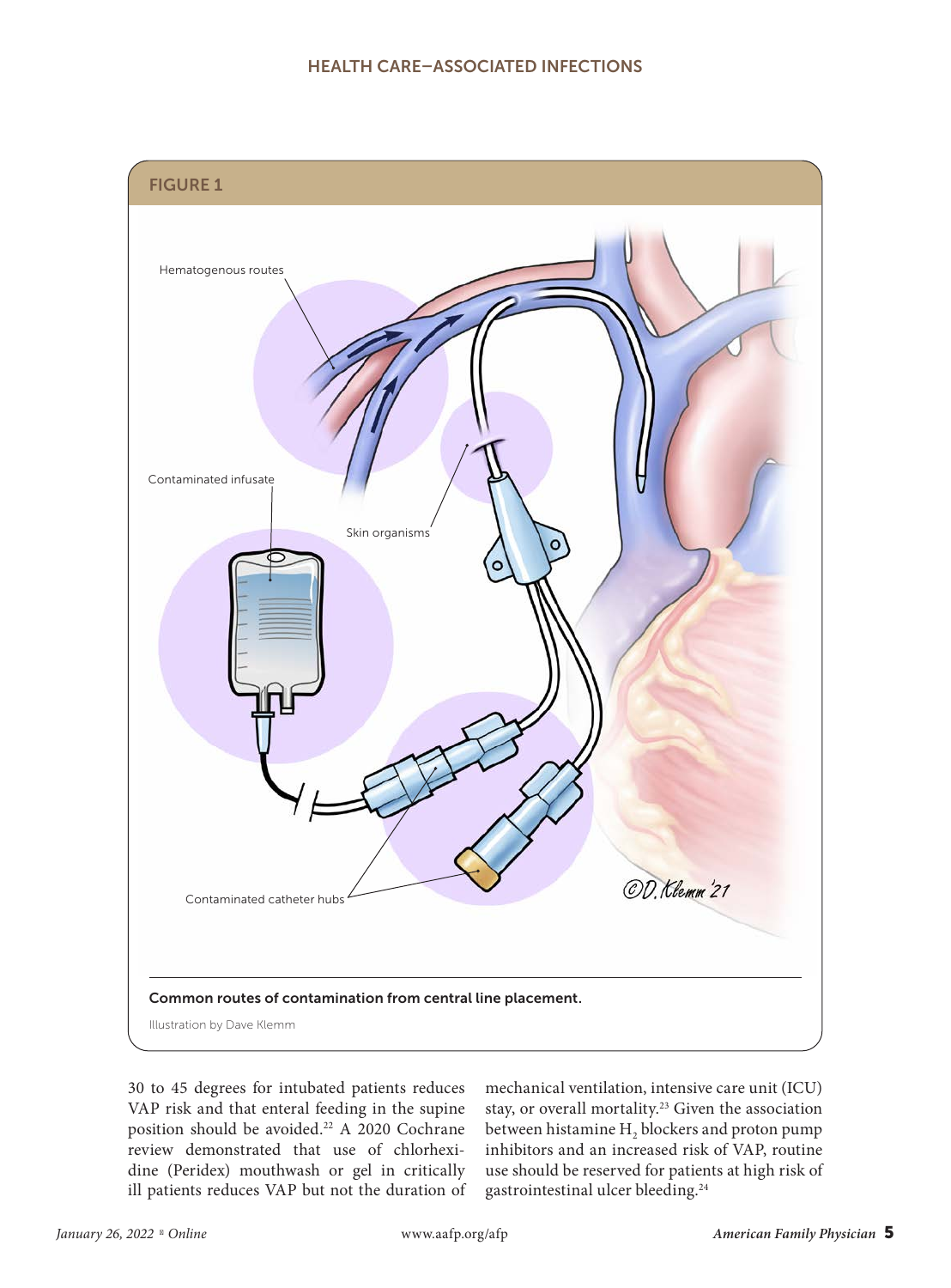

30 to 45 degrees for intubated patients reduces VAP risk and that enteral feeding in the supine position should be avoided.<sup>22</sup> A 2020 Cochrane review demonstrated that use of chlorhexidine (Peridex) mouthwash or gel in critically ill patients reduces VAP but not the duration of mechanical ventilation, intensive care unit (ICU) stay, or overall mortality.23 Given the association between histamine  $H_2$  blockers and proton pump inhibitors and an increased risk of VAP, routine use should be reserved for patients at high risk of gastrointestinal ulcer bleeding.24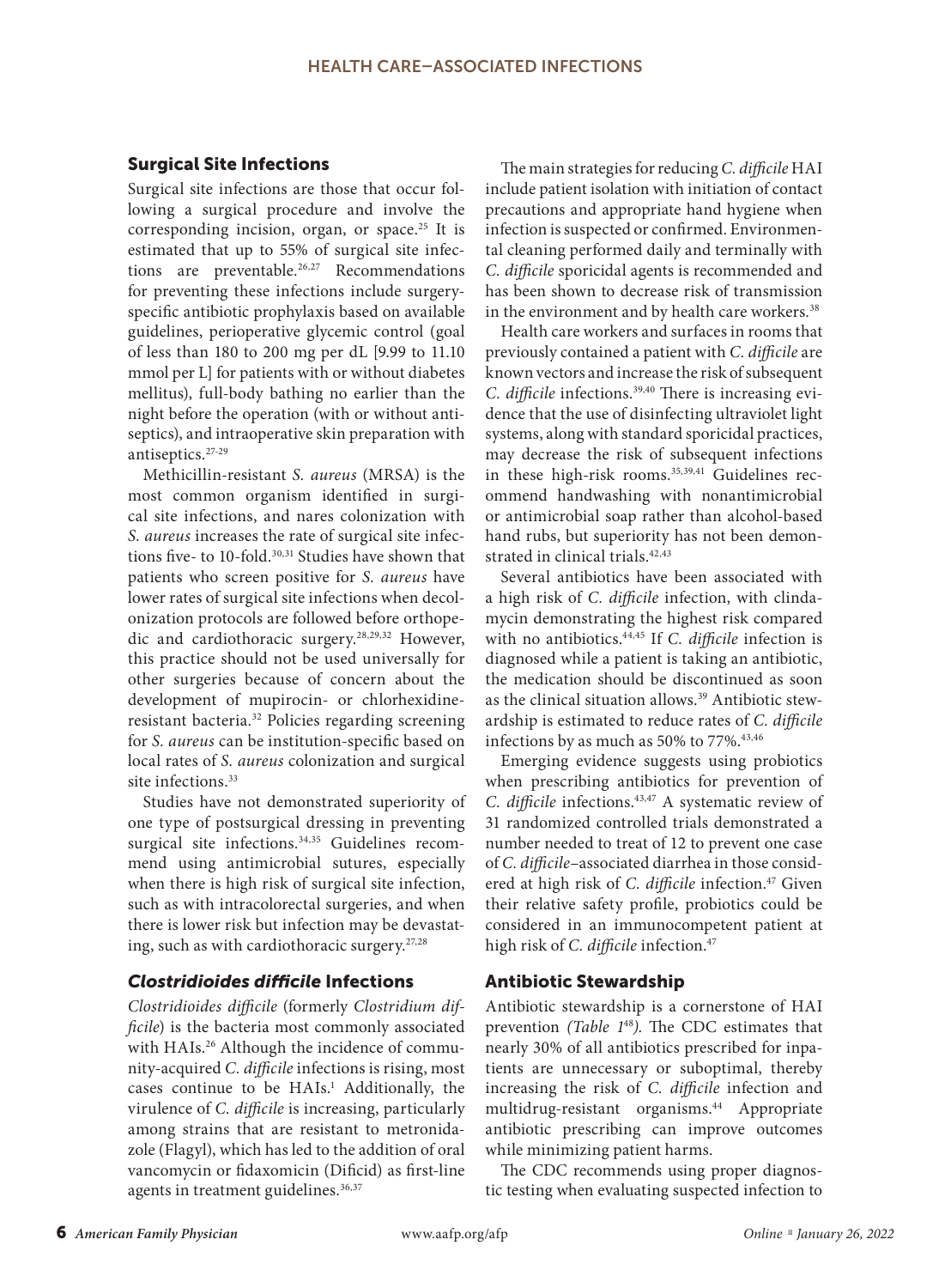## Surgical Site Infections

Surgical site infections are those that occur following a surgical procedure and involve the corresponding incision, organ, or space.<sup>25</sup> It is estimated that up to 55% of surgical site infections are preventable.<sup>26,27</sup> Recommendations for preventing these infections include surgeryspecific antibiotic prophylaxis based on available guidelines, perioperative glycemic control (goal of less than 180 to 200 mg per dL [9.99 to 11.10 mmol per L] for patients with or without diabetes mellitus), full-body bathing no earlier than the night before the operation (with or without antiseptics), and intraoperative skin preparation with antiseptics.27-29

Methicillin-resistant *S. aureus* (MRSA) is the most common organism identified in surgical site infections, and nares colonization with *S. aureus* increases the rate of surgical site infections five- to 10-fold.<sup>30,31</sup> Studies have shown that patients who screen positive for *S. aureus* have lower rates of surgical site infections when decolonization protocols are followed before orthopedic and cardiothoracic surgery.28,29,32 However, this practice should not be used universally for other surgeries because of concern about the development of mupirocin- or chlorhexidineresistant bacteria.32 Policies regarding screening for *S. aureus* can be institution-specific based on local rates of *S. aureus* colonization and surgical site infections.<sup>33</sup>

Studies have not demonstrated superiority of one type of postsurgical dressing in preventing surgical site infections.<sup>34,35</sup> Guidelines recommend using antimicrobial sutures, especially when there is high risk of surgical site infection, such as with intracolorectal surgeries, and when there is lower risk but infection may be devastating, such as with cardiothoracic surgery. $27,28$ 

## *Clostridioides difficile* Infections

*Clostridioides difficile* (formerly *Clostridium difficile*) is the bacteria most commonly associated with HAIs.<sup>26</sup> Although the incidence of community-acquired *C. difficile* infections is rising, most cases continue to be HAIs.<sup>1</sup> Additionally, the virulence of *C. difficile* is increasing, particularly among strains that are resistant to metronidazole (Flagyl), which has led to the addition of oral vancomycin or fidaxomicin (Dificid) as first-line agents in treatment guidelines.<sup>36,37</sup>

The main strategies for reducing *C. difficile* HAI include patient isolation with initiation of contact precautions and appropriate hand hygiene when infection is suspected or confirmed. Environmental cleaning performed daily and terminally with *C. difficile* sporicidal agents is recommended and has been shown to decrease risk of transmission in the environment and by health care workers.<sup>38</sup>

Health care workers and surfaces in rooms that previously contained a patient with *C. difficile* are known vectors and increase the risk of subsequent *C. difficile* infections.39,40 There is increasing evidence that the use of disinfecting ultraviolet light systems, along with standard sporicidal practices, may decrease the risk of subsequent infections in these high-risk rooms.<sup>35,39,41</sup> Guidelines recommend handwashing with nonantimicrobial or antimicrobial soap rather than alcohol-based hand rubs, but superiority has not been demonstrated in clinical trials.42,43

Several antibiotics have been associated with a high risk of *C. difficile* infection, with clindamycin demonstrating the highest risk compared with no antibiotics.44,45 If *C. difficile* infection is diagnosed while a patient is taking an antibiotic, the medication should be discontinued as soon as the clinical situation allows.<sup>39</sup> Antibiotic stewardship is estimated to reduce rates of *C. difficile* infections by as much as 50% to 77%.<sup>43,46</sup>

Emerging evidence suggests using probiotics when prescribing antibiotics for prevention of *C. difficile* infections.43,47 A systematic review of 31 randomized controlled trials demonstrated a number needed to treat of 12 to prevent one case of *C. difficile*–associated diarrhea in those considered at high risk of *C. difficile* infection.<sup>47</sup> Given their relative safety profile, probiotics could be considered in an immunocompetent patient at high risk of *C. difficile* infection.<sup>47</sup>

## Antibiotic Stewardship

Antibiotic stewardship is a cornerstone of HAI prevention *(Table 1*<sup>48</sup>*)*. The CDC estimates that nearly 30% of all antibiotics prescribed for inpatients are unnecessary or suboptimal, thereby increasing the risk of *C. difficile* infection and multidrug-resistant organisms.<sup>44</sup> Appropriate antibiotic prescribing can improve outcomes while minimizing patient harms.

The CDC recommends using proper diagnostic testing when evaluating suspected infection to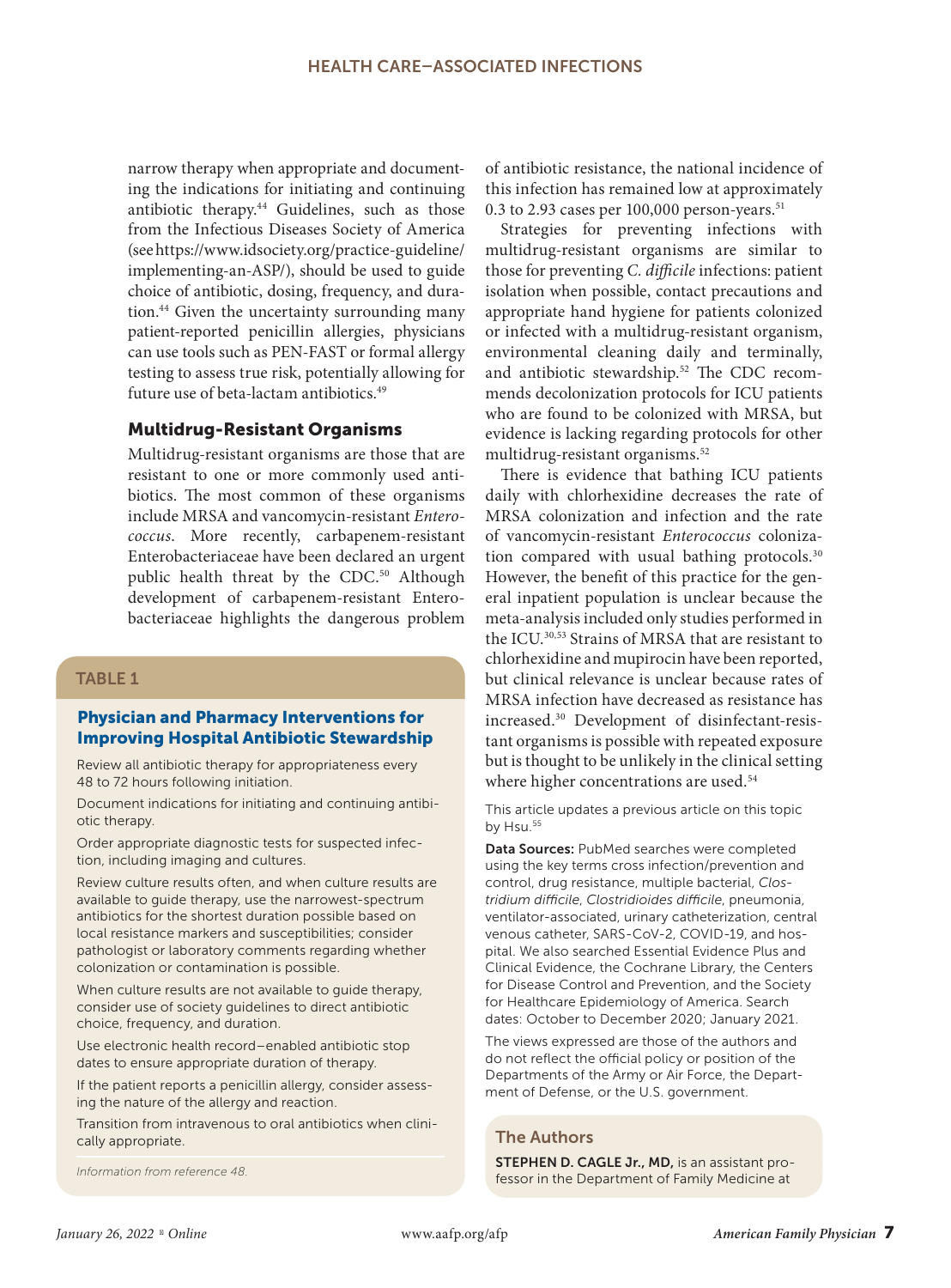narrow therapy when appropriate and documenting the indications for initiating and continuing antibiotic therapy.44 Guidelines, such as those from the Infectious Diseases Society of America (see https://www.idsociety.org/practice-guideline/ implementing-an-ASP/), should be used to guide choice of antibiotic, dosing, frequency, and duration.44 Given the uncertainty surrounding many patient-reported penicillin allergies, physicians can use tools such as PEN-FAST or formal allergy testing to assess true risk, potentially allowing for future use of beta-lactam antibiotics.<sup>49</sup>

## Multidrug-Resistant Organisms

Multidrug-resistant organisms are those that are resistant to one or more commonly used antibiotics. The most common of these organisms include MRSA and vancomycin-resistant *Enterococcus*. More recently, carbapenem-resistant Enterobacteriaceae have been declared an urgent public health threat by the CDC.<sup>50</sup> Although development of carbapenem-resistant Enterobacteriaceae highlights the dangerous problem

## TABLE 1

#### Physician and Pharmacy Interventions for Improving Hospital Antibiotic Stewardship

Review all antibiotic therapy for appropriateness every 48 to 72 hours following initiation.

Document indications for initiating and continuing antibiotic therapy.

Order appropriate diagnostic tests for suspected infection, including imaging and cultures.

Review culture results often, and when culture results are available to guide therapy, use the narrowest-spectrum antibiotics for the shortest duration possible based on local resistance markers and susceptibilities; consider pathologist or laboratory comments regarding whether colonization or contamination is possible.

When culture results are not available to guide therapy, consider use of society guidelines to direct antibiotic choice, frequency, and duration.

Use electronic health record–enabled antibiotic stop dates to ensure appropriate duration of therapy.

If the patient reports a penicillin allergy, consider assessing the nature of the allergy and reaction.

Transition from intravenous to oral antibiotics when clinically appropriate.

*Information from reference 48.*

of antibiotic resistance, the national incidence of this infection has remained low at approximately 0.3 to 2.93 cases per  $100,000$  person-years.<sup>51</sup>

Strategies for preventing infections with multidrug-resistant organisms are similar to those for preventing *C. difficile* infections: patient isolation when possible, contact precautions and appropriate hand hygiene for patients colonized or infected with a multidrug-resistant organism, environmental cleaning daily and terminally, and antibiotic stewardship.<sup>52</sup> The CDC recommends decolonization protocols for ICU patients who are found to be colonized with MRSA, but evidence is lacking regarding protocols for other multidrug-resistant organisms.52

There is evidence that bathing ICU patients daily with chlorhexidine decreases the rate of MRSA colonization and infection and the rate of vancomycin-resistant *Enterococcus* colonization compared with usual bathing protocols.<sup>30</sup> However, the benefit of this practice for the general inpatient population is unclear because the meta-analysis included only studies performed in the ICU.30,53 Strains of MRSA that are resistant to chlorhexidine and mupirocin have been reported, but clinical relevance is unclear because rates of MRSA infection have decreased as resistance has increased.30 Development of disinfectant-resistant organisms is possible with repeated exposure but is thought to be unlikely in the clinical setting where higher concentrations are used.<sup>54</sup>

This article updates a previous article on this topic by Hsu.<sup>55</sup>

Data Sources: PubMed searches were completed using the key terms cross infection/prevention and control, drug resistance, multiple bacterial, *Clostridium difficile*, *Clostridioides difficile*, pneumonia, ventilator-associated, urinary catheterization, central venous catheter, SARS-CoV-2, COVID-19, and hospital. We also searched Essential Evidence Plus and Clinical Evidence, the Cochrane Library, the Centers for Disease Control and Prevention, and the Society for Healthcare Epidemiology of America. Search dates: October to December 2020; January 2021.

The views expressed are those of the authors and do not reflect the official policy or position of the Departments of the Army or Air Force, the Department of Defense, or the U.S. government.

#### The Authors

STEPHEN D. CAGLE Jr., MD, is an assistant professor in the Department of Family Medicine at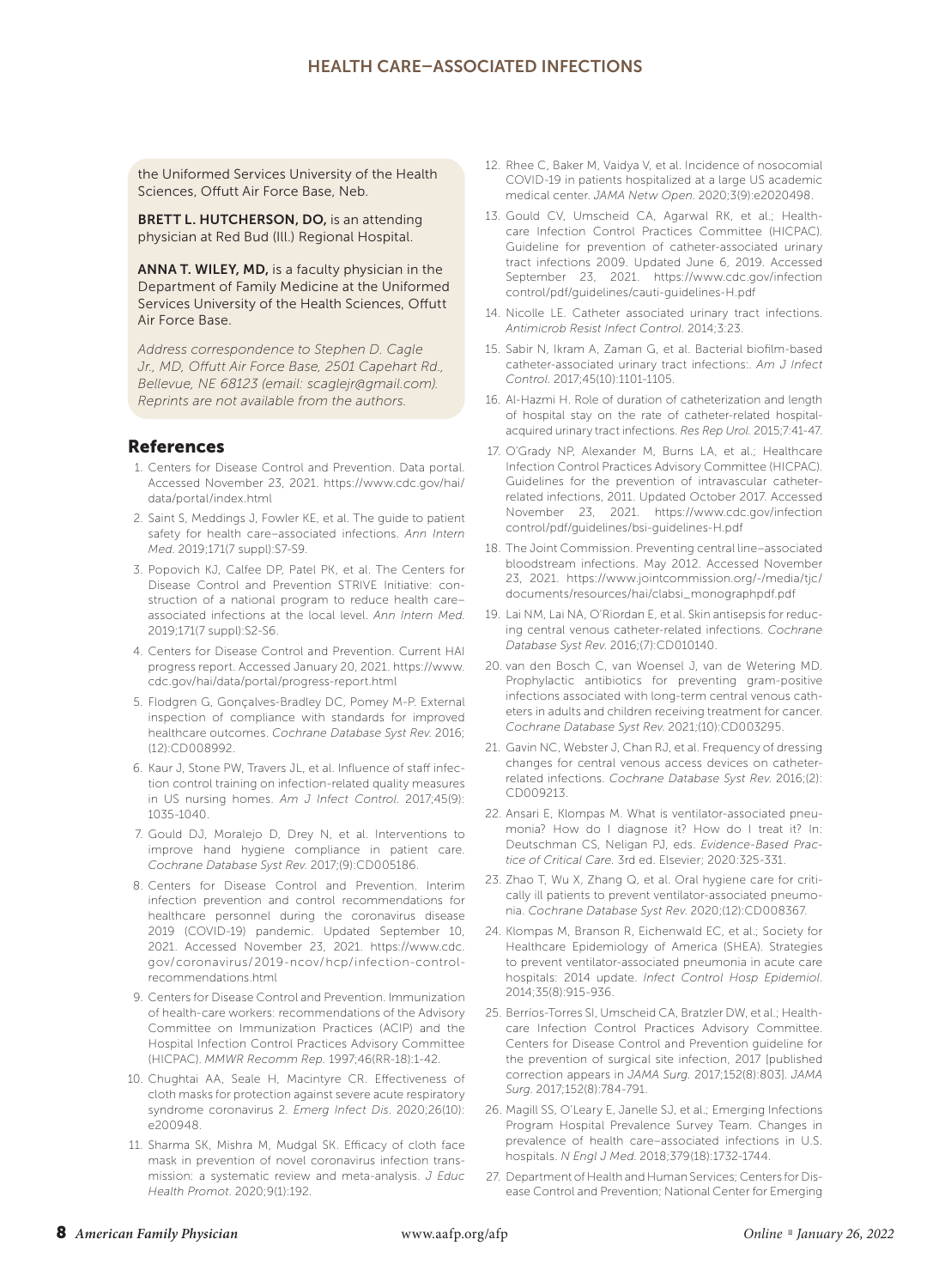the Uniformed Services University of the Health Sciences, Offutt Air Force Base, Neb.

BRETT L. HUTCHERSON, DO, is an attending physician at Red Bud (Ill.) Regional Hospital.

ANNA T. WILEY, MD, is a faculty physician in the Department of Family Medicine at the Uniformed Services University of the Health Sciences, Offutt Air Force Base.

*Address correspondence to Stephen D. Cagle Jr., MD, Offutt Air Force Base, 2501 Capehart Rd., Bellevue, NE 68123 (email: scaglejr@gmail.com). Reprints are not available from the authors.*

#### References

- 1. Centers for Disease Control and Prevention. Data portal. Accessed November 23, 2021. https://www.cdc.gov/hai/ data/portal/index.html
- 2. Saint S, Meddings J, Fowler KE, et al. The guide to patient safety for health care–associated infections. *Ann Intern Med*. 2019;171(7 suppl):S7-S9.
- 3. Popovich KJ, Calfee DP, Patel PK, et al. The Centers for Disease Control and Prevention STRIVE Initiative: construction of a national program to reduce health care– associated infections at the local level. *Ann Intern Med*. 2019;171(7 suppl):S2-S6.
- 4. Centers for Disease Control and Prevention. Current HAI progress report. Accessed January 20, 2021. https://www. cdc.gov/hai/data/portal/progress-report.html
- 5. Flodgren G, Gonçalves-Bradley DC, Pomey M-P. External inspection of compliance with standards for improved healthcare outcomes. *Cochrane Database Syst Rev*. 2016; (12):CD008992.
- 6. Kaur J, Stone PW, Travers JL, et al. Influence of staff infection control training on infection-related quality measures in US nursing homes. *Am J Infect Control*. 2017;45(9): 1035-1040.
- 7. Gould DJ, Moralejo D, Drey N, et al. Interventions to improve hand hygiene compliance in patient care. *Cochrane Database Syst Rev*. 2017;(9):CD005186.
- 8. Centers for Disease Control and Prevention. Interim infection prevention and control recommendations for healthcare personnel during the coronavirus disease 2019 (COVID-19) pandemic. Updated September 10, 2021. Accessed November 23, 2021. https://www.cdc. gov/coronavirus/2019-ncov/hcp/infection-controlrecommendations.html
- 9. Centers for Disease Control and Prevention. Immunization of health-care workers: recommendations of the Advisory Committee on Immunization Practices (ACIP) and the Hospital Infection Control Practices Advisory Committee (HICPAC). *MMWR Recomm Rep.* 1997;46(RR-18):1-42.
- 10. Chughtai AA, Seale H, Macintyre CR. Effectiveness of cloth masks for protection against severe acute respiratory syndrome coronavirus 2. *Emerg Infect Dis*. 2020;26(10): e200948.
- 11. Sharma SK, Mishra M, Mudgal SK. Efficacy of cloth face mask in prevention of novel coronavirus infection transmission: a systematic review and meta-analysis. *J Educ Health Promot*. 2020;9(1):192.
- 12. Rhee C, Baker M, Vaidya V, et al. Incidence of nosocomial COVID-19 in patients hospitalized at a large US academic medical center. *JAMA Netw Open*. 2020;3(9):e2020498.
- 13. Gould CV, Umscheid CA, Agarwal RK, et al.; Healthcare Infection Control Practices Committee (HICPAC). Guideline for prevention of catheter-associated urinary tract infections 2009. Updated June 6, 2019. Accessed September 23, 2021. https://www.cdc.gov/infection control/pdf/guidelines/cauti-guidelines-H.pdf
- 14. Nicolle LE. Catheter associated urinary tract infections. *Antimicrob Resist Infect Control*. 2014;3:23.
- 15. Sabir N, Ikram A, Zaman G, et al. Bacterial biofilm-based catheter-associated urinary tract infections:. *Am J Infect Control*. 2017;45(10):1101-1105.
- 16. Al-Hazmi H. Role of duration of catheterization and length of hospital stay on the rate of catheter-related hospitalacquired urinary tract infections. *Res Rep Urol.* 2015;7:41-47.
- 17. O'Grady NP, Alexander M, Burns LA, et al.; Healthcare Infection Control Practices Advisory Committee (HICPAC). Guidelines for the prevention of intravascular catheterrelated infections, 2011. Updated October 2017. Accessed November 23, 2021. https://www.cdc.gov/infection control/pdf/guidelines/bsi-guidelines-H.pdf
- 18. The Joint Commission. Preventing central line–associated bloodstream infections. May 2012. Accessed November 23, 2021. https://www.jointcommission.org/-/media/tjc/ documents/resources/hai/clabsi\_monographpdf.pdf
- 19. Lai NM, Lai NA, O'Riordan E, et al. Skin antisepsis for reducing central venous catheter-related infections. *Cochrane Database Syst Rev*. 2016;(7):CD010140.
- 20. van den Bosch C, van Woensel J, van de Wetering MD. Prophylactic antibiotics for preventing gram-positive infections associated with long-term central venous catheters in adults and children receiving treatment for cancer. *Cochrane Database Syst Rev*. 2021;(10):CD003295.
- 21. Gavin NC, Webster J, Chan RJ, et al. Frequency of dressing changes for central venous access devices on catheterrelated infections. *Cochrane Database Syst Rev*. 2016;(2): CD009213.
- 22. Ansari E, Klompas M. What is ventilator-associated pneumonia? How do I diagnose it? How do I treat it? In: Deutschman CS, Neligan PJ, eds. *Evidence-Based Practice of Critical Care.* 3rd ed. Elsevier; 2020:325-331.
- 23. Zhao T, Wu X, Zhang Q, et al. Oral hygiene care for critically ill patients to prevent ventilator-associated pneumonia. *Cochrane Database Syst Rev*. 2020;(12):CD008367.
- 24. Klompas M, Branson R, Eichenwald EC, et al.; Society for Healthcare Epidemiology of America (SHEA). Strategies to prevent ventilator-associated pneumonia in acute care hospitals: 2014 update. *Infect Control Hosp Epidemiol*. 2014;35(8):915-936.
- 25. Berríos-Torres SI, Umscheid CA, Bratzler DW, et al.; Healthcare Infection Control Practices Advisory Committee. Centers for Disease Control and Prevention guideline for the prevention of surgical site infection, 2017 [published correction appears in *JAMA Surg.* 2017;152(8):803]. *JAMA Surg*. 2017;152(8):784-791.
- 26. Magill SS, O'Leary E, Janelle SJ, et al.; Emerging Infections Program Hospital Prevalence Survey Team. Changes in prevalence of health care–associated infections in U.S. hospitals. *N Engl J Med*. 2018;379(18):1732-1744.
- 27. Department of Health and Human Services; Centers for Disease Control and Prevention; National Center for Emerging